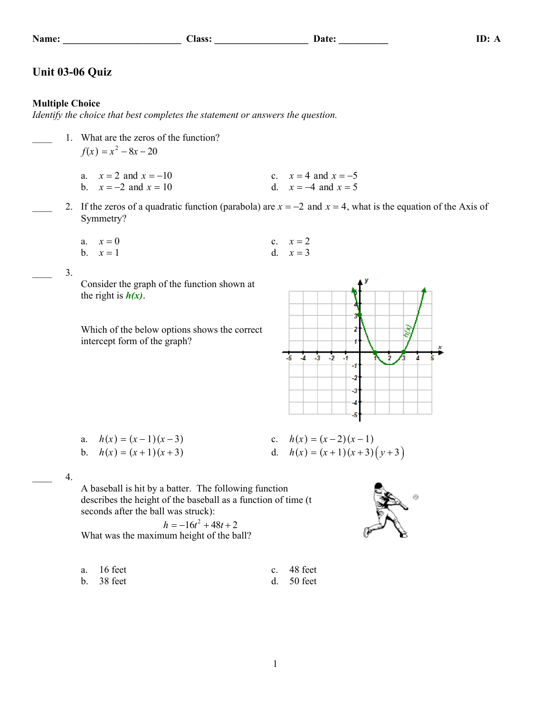## Unit 03-06 Quiz

## **Multiple Choice**

Identify the choice that best completes the statement or answers the question.

- 1. What are the zeros of the function?  $f(x) = x^2 - 8x - 20$ 
	- a.  $x = 2$  and  $x = -10$ c.  $x = 4$  and  $x = -5$ d.  $x = -4$  and  $x = 5$ b.  $x = -2$  and  $x = 10$
- 2. If the zeros of a quadratic function (parabola) are  $x = -2$  and  $x = 4$ , what is the equation of the Axis of Symmetry?

Class: Date: Date:

a. 
$$
x = 0
$$
  
\nb.  $x = 1$   
\nc.  $x = 2$   
\nd.  $x = 3$ 

 $3.$ 

Consider the graph of the function shown at the right is  $h(x)$ .

Which of the below options shows the correct intercept form of the graph?



| a. $h(x) = (x-1)(x-3)$ | c. $h(x) = (x-2)(x-1)$      |
|------------------------|-----------------------------|
| b. $h(x) = (x+1)(x+3)$ | d. $h(x) = (x+1)(x+3)(y+3)$ |

 $4.$ 

A baseball is hit by a batter. The following function describes the height of the baseball as a function of time (t seconds after the ball was struck):

 $h = -16t^2 + 48t + 2$ What was the maximum height of the ball?

| a. 16 feet   | c. $48$ feet |
|--------------|--------------|
| $b.$ 38 feet | d. $50$ feet |